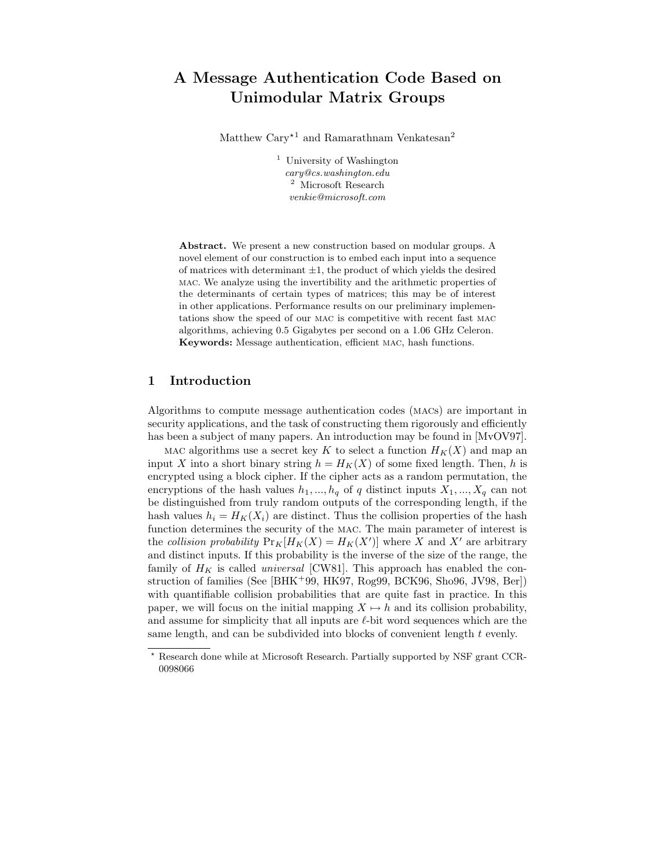# A Message Authentication Code Based on Unimodular Matrix Groups

Matthew  $\text{Cary}^{\star 1}$  and Ramarathnam Venkatesan<sup>2</sup>

<sup>1</sup> University of Washington cary@cs.washington.edu <sup>2</sup> Microsoft Research venkie@microsoft.com

Abstract. We present a new construction based on modular groups. A novel element of our construction is to embed each input into a sequence of matrices with determinant  $\pm 1$ , the product of which yields the desired mac. We analyze using the invertibility and the arithmetic properties of the determinants of certain types of matrices; this may be of interest in other applications. Performance results on our preliminary implementations show the speed of our mac is competitive with recent fast mac algorithms, achieving 0.5 Gigabytes per second on a 1.06 GHz Celeron. Keywords: Message authentication, efficient mac, hash functions.

## 1 Introduction

Algorithms to compute message authentication codes (macs) are important in security applications, and the task of constructing them rigorously and efficiently has been a subject of many papers. An introduction may be found in  $\text{MvOV97}$ .

MAC algorithms use a secret key K to select a function  $H_K(X)$  and map an input X into a short binary string  $h = H_K(X)$  of some fixed length. Then, h is encrypted using a block cipher. If the cipher acts as a random permutation, the encryptions of the hash values  $h_1, ..., h_q$  of q distinct inputs  $X_1, ..., X_q$  can not be distinguished from truly random outputs of the corresponding length, if the hash values  $h_i = H_K(X_i)$  are distinct. Thus the collision properties of the hash function determines the security of the MAC. The main parameter of interest is the collision probability  $Pr_K[H_K(X) = H_K(X')]$  where X and X' are arbitrary and distinct inputs. If this probability is the inverse of the size of the range, the family of  $H_K$  is called *universal* [CW81]. This approach has enabled the construction of families (See [BHK<sup>+</sup>99, HK97, Rog99, BCK96, Sho96, JV98, Ber]) with quantifiable collision probabilities that are quite fast in practice. In this paper, we will focus on the initial mapping  $X \mapsto h$  and its collision probability, and assume for simplicity that all inputs are  $\ell$ -bit word sequences which are the same length, and can be subdivided into blocks of convenient length t evenly.

<sup>?</sup> Research done while at Microsoft Research. Partially supported by NSF grant CCR-0098066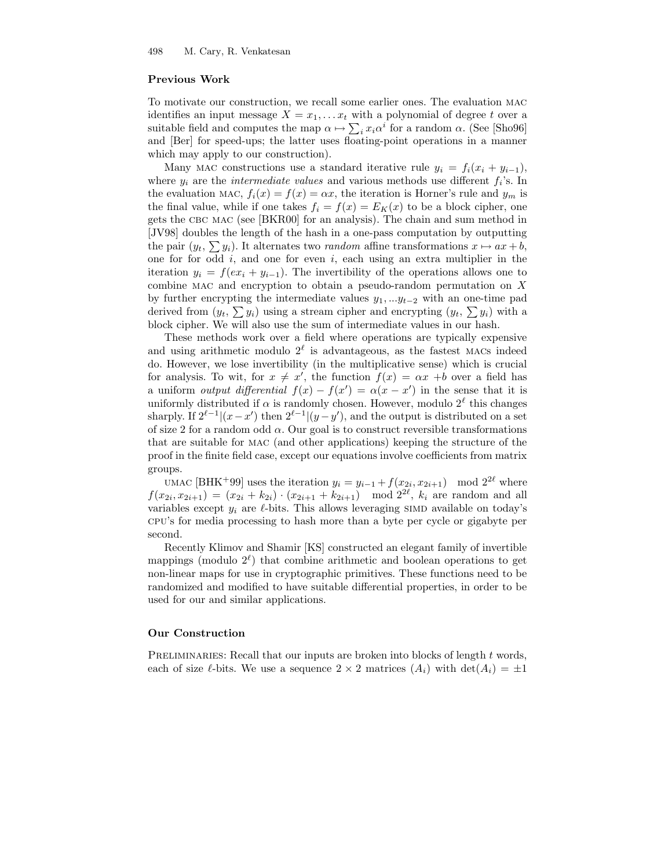#### Previous Work

To motivate our construction, we recall some earlier ones. The evaluation mac identifies an input message  $X = x_1, \ldots, x_t$  with a polynomial of degree t over a suitable field and computes the map  $\alpha \mapsto \sum_i x_i \alpha^i$  for a random  $\alpha$ . (See [Sho96] and [Ber] for speed-ups; the latter uses floating-point operations in a manner which may apply to our construction).

Many MAC constructions use a standard iterative rule  $y_i = f_i(x_i + y_{i-1}),$ where  $y_i$  are the *intermediate values* and various methods use different  $f_i$ 's. In the evaluation MAC,  $f_i(x) = f(x) = \alpha x$ , the iteration is Horner's rule and  $y_m$  is the final value, while if one takes  $f_i = f(x) = E_K(x)$  to be a block cipher, one gets the CBC MAC (see [BKR00] for an analysis). The chain and sum method in [JV98] doubles the length of the hash in a one-pass computation by outputting the pair  $(y_t, \sum y_i)$ . It alternates two *random* affine transformations  $x \mapsto ax + b$ , one for for odd  $i$ , and one for even  $i$ , each using an extra multiplier in the iteration  $y_i = f(ex_i + y_{i-1})$ . The invertibility of the operations allows one to combine mac and encryption to obtain a pseudo-random permutation on X by further encrypting the intermediate values  $y_1, \ldots y_{t-2}$  with an one-time pad derived from  $(y_t, \sum y_i)$  using a stream cipher and encrypting  $(y_t, \sum y_i)$  with a block cipher. We will also use the sum of intermediate values in our hash.

These methods work over a field where operations are typically expensive and using arithmetic modulo  $2^{\ell}$  is advantageous, as the fastest MACs indeed do. However, we lose invertibility (in the multiplicative sense) which is crucial for analysis. To wit, for  $x \neq x'$ , the function  $f(x) = \alpha x + b$  over a field has a uniform *output differential*  $f(x) - f(x') = \alpha(x - x')$  in the sense that it is uniformly distributed if  $\alpha$  is randomly chosen. However, modulo  $2^{\ell}$  this changes sharply. If  $2^{\ell-1} |(x-x')$  then  $2^{\ell-1} |(y-y')$ , and the output is distributed on a set of size 2 for a random odd  $\alpha$ . Our goal is to construct reversible transformations that are suitable for mac (and other applications) keeping the structure of the proof in the finite field case, except our equations involve coefficients from matrix groups.

UMAC [BHK<sup>+</sup>99] uses the iteration  $y_i = y_{i-1} + f(x_{2i}, x_{2i+1}) \mod 2^{2\ell}$  where  $f(x_{2i}, x_{2i+1}) = (x_{2i} + k_{2i}) \cdot (x_{2i+1} + k_{2i+1}) \mod 2^{2\ell}, k_i$  are random and all variables except  $y_i$  are  $\ell$ -bits. This allows leveraging SIMD available on today's cpu's for media processing to hash more than a byte per cycle or gigabyte per second.

Recently Klimov and Shamir [KS] constructed an elegant family of invertible mappings (modulo  $2^{\ell}$ ) that combine arithmetic and boolean operations to get non-linear maps for use in cryptographic primitives. These functions need to be randomized and modified to have suitable differential properties, in order to be used for our and similar applications.

#### Our Construction

PRELIMINARIES: Recall that our inputs are broken into blocks of length  $t$  words, each of size  $\ell$ -bits. We use a sequence  $2 \times 2$  matrices  $(A_i)$  with  $\det(A_i) = \pm 1$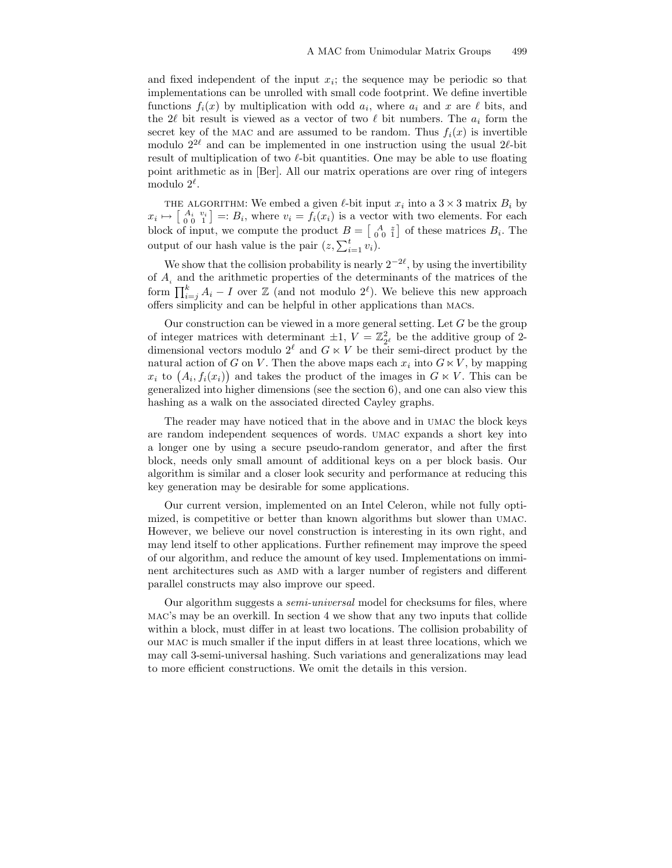and fixed independent of the input  $x_i$ ; the sequence may be periodic so that implementations can be unrolled with small code footprint. We define invertible functions  $f_i(x)$  by multiplication with odd  $a_i$ , where  $a_i$  and x are  $\ell$  bits, and the 2 $\ell$  bit result is viewed as a vector of two  $\ell$  bit numbers. The  $a_i$  form the secret key of the MAC and are assumed to be random. Thus  $f_i(x)$  is invertible modulo  $2^{2\ell}$  and can be implemented in one instruction using the usual  $2\ell$ -bit result of multiplication of two  $\ell$ -bit quantities. One may be able to use floating point arithmetic as in [Ber]. All our matrix operations are over ring of integers modulo  $2^{\ell}$ .

THE ALGORITHM: We embed a given  $\ell$ -bit input  $x_i$  into a  $3 \times 3$  matrix  $B_i$  by  $x_i \mapsto \begin{bmatrix} A_i & v_i \ 0 & 0 & 1 \end{bmatrix} =: B_i$ , where  $v_i = f_i(x_i)$  is a vector with two elements. For each block of input, we compute the product  $B = \begin{bmatrix} A & z \\ 0 & 0 \end{bmatrix}$  of these matrices  $B_i$ . The output of our hash value is the pair  $(z, \sum_{i=1}^t v_i)$ .

We show that the collision probability is nearly  $2^{-2\ell}$ , by using the invertibility of  $A_i$  and the arithmetic properties of the determinants of the matrices of the form  $\prod_{i=j}^{k} A_i - I$  over  $\mathbb{Z}$  (and not modulo  $2^{\ell}$ ). We believe this new approach offers simplicity and can be helpful in other applications than macs.

Our construction can be viewed in a more general setting. Let  $G$  be the group of integer matrices with determinant  $\pm 1$ ,  $V = \mathbb{Z}_{2^{\ell}}^2$  be the additive group of 2dimensional vectors modulo  $2^{\ell}$  and  $G \ltimes V$  be their semi-direct product by the natural action of G on V. Then the above maps each  $x_i$  into  $G \ltimes V$ , by mapping  $x_i$  to  $(A_i, f_i(x_i))$  and takes the product of the images in  $G \ltimes V$ . This can be generalized into higher dimensions (see the section 6), and one can also view this hashing as a walk on the associated directed Cayley graphs.

The reader may have noticed that in the above and in umac the block keys are random independent sequences of words. umac expands a short key into a longer one by using a secure pseudo-random generator, and after the first block, needs only small amount of additional keys on a per block basis. Our algorithm is similar and a closer look security and performance at reducing this key generation may be desirable for some applications.

Our current version, implemented on an Intel Celeron, while not fully optimized, is competitive or better than known algorithms but slower than umac. However, we believe our novel construction is interesting in its own right, and may lend itself to other applications. Further refinement may improve the speed of our algorithm, and reduce the amount of key used. Implementations on imminent architectures such as amd with a larger number of registers and different parallel constructs may also improve our speed.

Our algorithm suggests a semi-universal model for checksums for files, where mac's may be an overkill. In section 4 we show that any two inputs that collide within a block, must differ in at least two locations. The collision probability of our mac is much smaller if the input differs in at least three locations, which we may call 3-semi-universal hashing. Such variations and generalizations may lead to more efficient constructions. We omit the details in this version.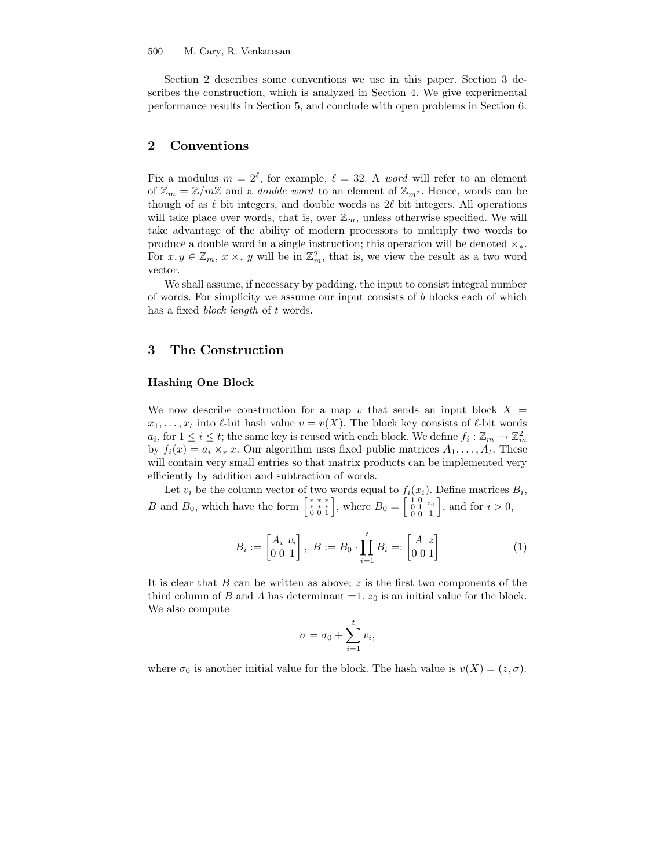Section 2 describes some conventions we use in this paper. Section 3 describes the construction, which is analyzed in Section 4. We give experimental performance results in Section 5, and conclude with open problems in Section 6.

## 2 Conventions

Fix a modulus  $m = 2^{\ell}$ , for example,  $\ell = 32$ . A word will refer to an element of  $\mathbb{Z}_m = \mathbb{Z}/m\mathbb{Z}$  and a *double word* to an element of  $\mathbb{Z}_{m^2}$ . Hence, words can be though of as  $\ell$  bit integers, and double words as  $2\ell$  bit integers. All operations will take place over words, that is, over  $\mathbb{Z}_m$ , unless otherwise specified. We will take advantage of the ability of modern processors to multiply two words to produce a double word in a single instruction; this operation will be denoted  $\times_*$ . For  $x, y \in \mathbb{Z}_m$ ,  $x \times_* y$  will be in  $\mathbb{Z}_m^2$ , that is, we view the result as a two word vector.

We shall assume, if necessary by padding, the input to consist integral number of words. For simplicity we assume our input consists of b blocks each of which has a fixed *block length* of t words.

## 3 The Construction

#### Hashing One Block

We now describe construction for a map v that sends an input block  $X =$  $x_1, \ldots, x_t$  into  $\ell$ -bit hash value  $v = v(X)$ . The block key consists of  $\ell$ -bit words  $a_i$ , for  $1 \leq i \leq t$ ; the same key is reused with each block. We define  $f_i : \mathbb{Z}_m \to \mathbb{Z}_m^2$ by  $f_i(x) = a_i \times_* x$ . Our algorithm uses fixed public matrices  $A_1, \ldots, A_t$ . These will contain very small entries so that matrix products can be implemented very efficiently by addition and subtraction of words.

Let  $v_i$  be the column vector of two words equal to  $f_i(x_i)$ . Define matrices  $B_i$ , *B* and  $B_0$ , which have the form  $\begin{bmatrix} * & * & * \\ * & * & * \\ 0 & 0 & 1 \end{bmatrix}$ , where  $B_0 = \begin{bmatrix} 1 & 0 & z_0 \\ 0 & 1 & z_0 \\ 0 & 0 & 1 \end{bmatrix}$ 0 0 1  $\Big]$ , and for  $i > 0$ ,

$$
B_i := \begin{bmatrix} A_i & v_i \\ 0 & 0 & 1 \end{bmatrix}, \ B := B_0 \cdot \prod_{i=1}^t B_i =: \begin{bmatrix} A & z \\ 0 & 0 & 1 \end{bmatrix} \tag{1}
$$

It is clear that  $B$  can be written as above;  $z$  is the first two components of the third column of B and A has determinant  $\pm 1$ .  $z_0$  is an initial value for the block. We also compute

$$
\sigma = \sigma_0 + \sum_{i=1}^t v_i,
$$

where  $\sigma_0$  is another initial value for the block. The hash value is  $v(X) = (z, \sigma)$ .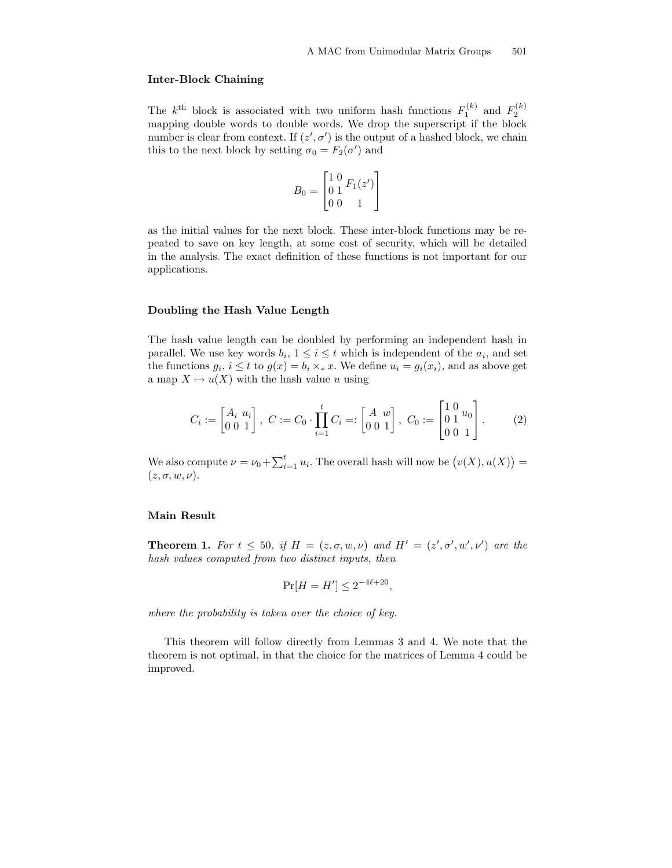#### Inter-Block Chaining

The  $k^{\text{th}}$  block is associated with two uniform hash functions  $F_1^{(k)}$  and  $F_2^{(k)}$  mapping double words to double words. We drop the superscript if the block number is clear from context. If  $(z', \sigma')$  is the output of a hashed block, we chain this to the next block by setting  $\sigma_0 = F_2(\sigma')$  and

$$
B_0 = \begin{bmatrix} 1 & 0 & F_1(z') \\ 0 & 1 & 0 \\ 0 & 0 & 1 \end{bmatrix}
$$

as the initial values for the next block. These inter-block functions may be repeated to save on key length, at some cost of security, which will be detailed in the analysis. The exact definition of these functions is not important for our applications.

#### Doubling the Hash Value Length

The hash value length can be doubled by performing an independent hash in parallel. We use key words  $b_i$ ,  $1 \leq i \leq t$  which is independent of the  $a_i$ , and set the functions  $g_i, i \leq t$  to  $g(x) = b_i \times_* x$ . We define  $u_i = g_i(x_i)$ , and as above get a map  $X \mapsto u(X)$  with the hash value u using

$$
C_i := \begin{bmatrix} A_i & u_i \\ 0 & 0 & 1 \end{bmatrix}, \ C := C_0 \cdot \prod_{i=1}^t C_i =: \begin{bmatrix} A & w \\ 0 & 0 & 1 \end{bmatrix}, \ C_0 := \begin{bmatrix} 1 & 0 & u_0 \\ 0 & 1 & 0 \\ 0 & 0 & 1 \end{bmatrix}.
$$
 (2)

We also compute  $\nu = \nu_0 + \sum_{i=1}^t u_i$ . The overall hash will now be  $(v(X), u(X)) =$  $(z, \sigma, w, \nu).$ 

#### Main Result

**Theorem 1.** For  $t \leq 50$ , if  $H = (z, \sigma, w, \nu)$  and  $H' = (z', \sigma', w', \nu')$  are the hash values computed from two distinct inputs, then

$$
\Pr[H = H'] \le 2^{-4\ell + 20},
$$

where the probability is taken over the choice of key.

This theorem will follow directly from Lemmas 3 and 4. We note that the theorem is not optimal, in that the choice for the matrices of Lemma 4 could be improved.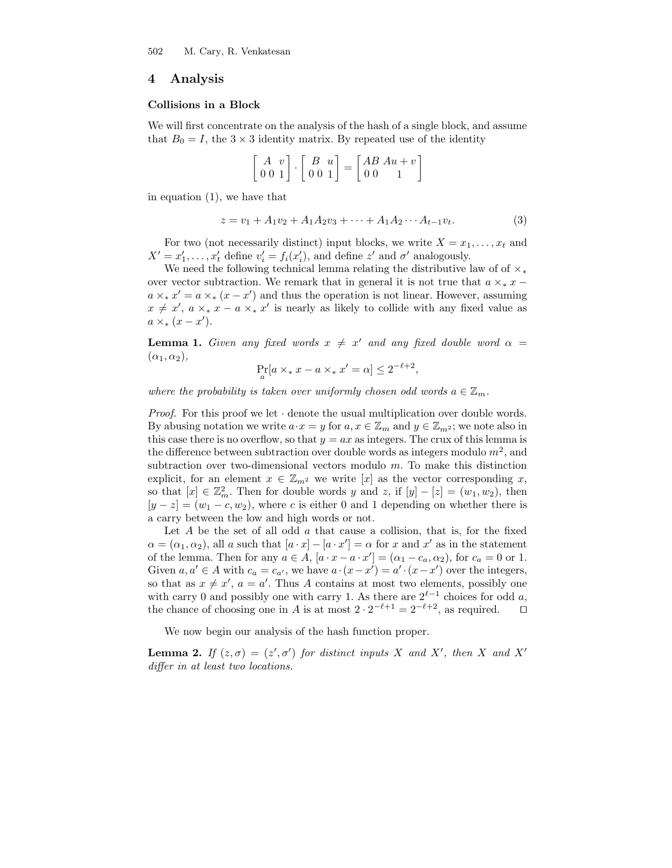## 4 Analysis

## Collisions in a Block

We will first concentrate on the analysis of the hash of a single block, and assume that  $B_0 = I$ , the  $3 \times 3$  identity matrix. By repeated use of the identity

$$
\begin{bmatrix} A & v \\ 0 & 0 & 1 \end{bmatrix} \cdot \begin{bmatrix} B & u \\ 0 & 0 & 1 \end{bmatrix} = \begin{bmatrix} AB & Au + v \\ 0 & 0 & 1 \end{bmatrix}
$$

in equation (1), we have that

$$
z = v_1 + A_1 v_2 + A_1 A_2 v_3 + \dots + A_1 A_2 \dots A_{t-1} v_t.
$$
 (3)

For two (not necessarily distinct) input blocks, we write  $X = x_1, \ldots, x_t$  and  $X' = x'_1, \ldots, x'_t$  define  $v'_i = f_i(x'_i)$ , and define  $z'$  and  $\sigma'$  analogously.

We need the following technical lemma relating the distributive law of of  $\times$ \* over vector subtraction. We remark that in general it is not true that  $a \times_* x$  −  $a \times_{*} x' = a \times_{*} (x - x')$  and thus the operation is not linear. However, assuming  $x \neq x'$ ,  $a \times_* x - a \times_* x'$  is nearly as likely to collide with any fixed value as  $a \times_{*} (x - x').$ 

**Lemma 1.** Given any fixed words  $x \neq x'$  and any fixed double word  $\alpha =$  $(\alpha_1, \alpha_2),$ 

$$
\Pr_a[a \times_* x - a \times_* x' = \alpha] \le 2^{-\ell+2},
$$

where the probability is taken over uniformly chosen odd words  $a \in \mathbb{Z}_m$ .

*Proof.* For this proof we let  $\cdot$  denote the usual multiplication over double words. By abusing notation we write  $a \cdot x = y$  for  $a, x \in \mathbb{Z}_m$  and  $y \in \mathbb{Z}_{m^2}$ ; we note also in this case there is no overflow, so that  $y = ax$  as integers. The crux of this lemma is the difference between subtraction over double words as integers modulo  $m^2$ , and subtraction over two-dimensional vectors modulo m. To make this distinction explicit, for an element  $x \in \mathbb{Z}_{m^2}$  we write  $[x]$  as the vector corresponding x, so that  $[x] \in \mathbb{Z}_m^2$ . Then for double words y and z, if  $[y] - [z] = (w_1, w_2)$ , then  $[y - z] = (w_1 - c, w_2)$ , where c is either 0 and 1 depending on whether there is a carry between the low and high words or not.

Let  $A$  be the set of all odd  $a$  that cause a collision, that is, for the fixed  $\alpha = (\alpha_1, \alpha_2)$ , all a such that  $[a \cdot x] - [a \cdot x'] = \alpha$  for x and x' as in the statement of the lemma. Then for any  $a \in A$ ,  $[a \cdot x - a \cdot x'] = (\alpha_1 - c_a, \alpha_2)$ , for  $c_a = 0$  or 1. Given  $a, a' \in A$  with  $c_a = c_{a'}$ , we have  $a \cdot (x - x') = a' \cdot (x - x')$  over the integers, so that as  $x \neq x'$ ,  $a = a'$ . Thus A contains at most two elements, possibly one with carry 0 and possibly one with carry 1. As there are  $2^{\ell-1}$  choices for odd a, the chance of choosing one in A is at most  $2 \cdot 2^{-\ell+1} = 2^{-\ell+2}$ , as required.  $\square$ 

We now begin our analysis of the hash function proper.

**Lemma 2.** If  $(z, \sigma) = (z', \sigma')$  for distinct inputs X and X', then X and X' differ in at least two locations.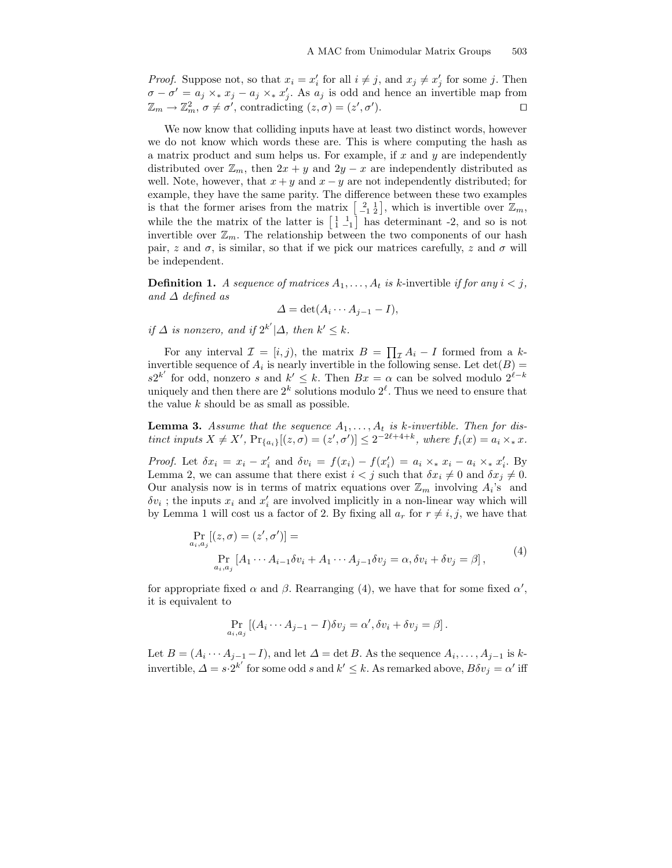*Proof.* Suppose not, so that  $x_i = x'_i$  for all  $i \neq j$ , and  $x_j \neq x'_j$  for some j. Then  $\sigma - \sigma' = a_j \times_* x_j - a_j \times_* x'_j$ . As  $a_j$  is odd and hence an invertible map from  $\mathbb{Z}_m \to \mathbb{Z}_m^2$ ,  $\sigma \neq \sigma'$ , contradicting  $(z, \sigma) = (z', \sigma')$ ).  $\qquad \qquad \Box$ 

We now know that colliding inputs have at least two distinct words, however we do not know which words these are. This is where computing the hash as a matrix product and sum helps us. For example, if  $x$  and  $y$  are independently distributed over  $\mathbb{Z}_m$ , then  $2x + y$  and  $2y - x$  are independently distributed as well. Note, however, that  $x + y$  and  $x - y$  are not independently distributed; for example, they have the same parity. The difference between these two examples is that the former arises from the matrix  $\begin{bmatrix} 2 & 1 \\ -1 & 2 \end{bmatrix}$ , which is invertible over  $\mathbb{Z}_m$ , while the the matrix of the latter is  $\begin{bmatrix} 1 & 1 \\ 1 & -1 \end{bmatrix}$  has determinant -2, and so is not invertible over  $\mathbb{Z}_m$ . The relationship between the two components of our hash pair, z and  $\sigma$ , is similar, so that if we pick our matrices carefully, z and  $\sigma$  will be independent.

**Definition 1.** A sequence of matrices  $A_1, \ldots, A_t$  is k-invertible if for any  $i < j$ , and  $\Delta$  defined as

$$
\Delta = \det(A_i \cdots A_{j-1} - I),
$$

if  $\Delta$  is nonzero, and if  $2^{k'}|\Delta$ , then  $k' \leq k$ .

For any interval  $\mathcal{I} = [i, j)$ , the matrix  $B = \prod_{\mathcal{I}} A_i - I$  formed from a kinvertible sequence of  $A_i$  is nearly invertible in the following sense. Let  $\det(B)$  $s2^{k'}$  for odd, nonzero s and  $k' \leq k$ . Then  $Bx = \alpha$  can be solved modulo  $2^{\ell-k}$ uniquely and then there are  $2^k$  solutions modulo  $2^{\ell}$ . Thus we need to ensure that the value  $k$  should be as small as possible.

**Lemma 3.** Assume that the sequence  $A_1, \ldots, A_t$  is k-invertible. Then for distinct inputs  $X \neq X'$ ,  $Pr_{\{a_i\}}[(z, \sigma) = (z', \sigma')] \leq 2^{-2\ell + 4 + k}$ , where  $f_i(x) = a_i \times_* x$ .

*Proof.* Let  $\delta x_i = x_i - x'_i$  and  $\delta v_i = f(x_i) - f(x'_i) = a_i \times_* x_i - a_i \times_* x'_i$ . By Lemma 2, we can assume that there exist  $i < j$  such that  $\delta x_i \neq 0$  and  $\delta x_j \neq 0$ . Our analysis now is in terms of matrix equations over  $\mathbb{Z}_m$  involving  $A_i$ 's and  $\delta v_i$ ; the inputs  $x_i$  and  $x'_i$  are involved implicitly in a non-linear way which will by Lemma 1 will cost us a factor of 2. By fixing all  $a_r$  for  $r \neq i, j$ , we have that

$$
\Pr_{a_i, a_j} [(z, \sigma) = (z', \sigma')] =
$$
\n
$$
\Pr_{a_i, a_j} [A_1 \cdots A_{i-1} \delta v_i + A_1 \cdots A_{j-1} \delta v_j = \alpha, \delta v_i + \delta v_j = \beta],
$$
\n(4)

for appropriate fixed  $\alpha$  and  $\beta$ . Rearranging (4), we have that for some fixed  $\alpha'$ , it is equivalent to

$$
\Pr_{a_i, a_j} [(A_i \cdots A_{j-1} - I)\delta v_j = \alpha', \delta v_i + \delta v_j = \beta].
$$

Let  $B = (A_i \cdots A_{j-1} - I)$ , and let  $\Delta = \det B$ . As the sequence  $A_i, \ldots, A_{j-1}$  is kinvertible,  $\Delta = s \cdot 2^{k'}$  for some odd s and  $k' \leq k$ . As remarked above,  $B \delta v_j = \alpha'$  iff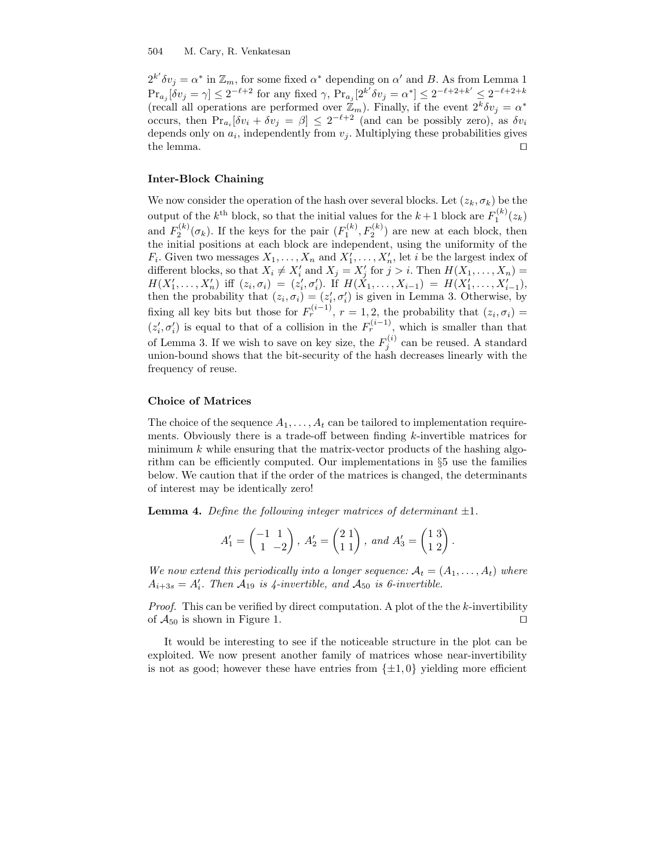$2^{k'} \delta v_j = \alpha^*$  in  $\mathbb{Z}_m$ , for some fixed  $\alpha^*$  depending on  $\alpha'$  and B. As from Lemma 1  $\Pr_{a_j}[\delta v_j = \gamma] \leq 2^{-\ell+2}$  for any fixed  $\gamma$ ,  $\Pr_{a_j}[2^{k'} \delta v_j = \alpha^*] \leq 2^{-\ell+2+k'} \leq 2^{-\ell+2+k}$ (recall all operations are performed over  $\mathbb{Z}_m$ ). Finally, if the event  $2^k \delta v_j = \alpha^*$ occurs, then  $Pr_{a_i}[\delta v_i + \delta v_j = \beta] \leq 2^{-\ell+2}$  (and can be possibly zero), as  $\delta v_i$ depends only on  $a_i$ , independently from  $v_j$ . Multiplying these probabilities gives the lemma.

### Inter-Block Chaining

We now consider the operation of the hash over several blocks. Let  $(z_k, \sigma_k)$  be the output of the  $k^{\text{th}}$  block, so that the initial values for the  $k+1$  block are  $F_1^{(k)}(z_k)$ and  $F_2^{(k)}(\sigma_k)$ . If the keys for the pair  $(F_1^{(k)}, F_2^{(k)})$  are new at each block, then the initial positions at each block are independent, using the uniformity of the  $F_i$ . Given two messages  $X_1, \ldots, X_n$  and  $X'_1, \ldots, X'_n$ , let *i* be the largest index of different blocks, so that  $X_i \neq X'_i$  and  $X_j = X'_j$  for  $j > i$ . Then  $H(X_1, \ldots, X_n) =$ if  $(z_i, \sigma_i) = (z'_i, \sigma'_i)$ . If  $H(X_1, \ldots, X_{i-1}) = H(X'_1, \ldots, X'_{i-1})$ ,<br>H(X'<sub>1</sub>, ..., X'<sub>n</sub>) iff  $(z_i, \sigma_i) = (z'_i, \sigma'_i)$ . If  $H(X_1, \ldots, X_{i-1}) = H(X'_1, \ldots, X'_{i-1})$ , then the probability that  $(z_i, \sigma_i) = (z'_i, \sigma'_i)$  is given in Lemma 3. Otherwise, by fixing all key bits but those for  $F_r^{(i-1)}$ ,  $r = 1, 2$ , the probability that  $(z_i, \sigma_i) =$  $(z'_i, \sigma'_i)$  is equal to that of a collision in the  $F_r^{(i-1)}$ , which is smaller than that of Lemma 3. If we wish to save on key size, the  $F_j^{(i)}$  can be reused. A standard union-bound shows that the bit-security of the hash decreases linearly with the frequency of reuse.

#### Choice of Matrices

The choice of the sequence  $A_1, \ldots, A_t$  can be tailored to implementation requirements. Obviously there is a trade-off between finding  $k$ -invertible matrices for minimum  $k$  while ensuring that the matrix-vector products of the hashing algorithm can be efficiently computed. Our implementations in §5 use the families below. We caution that if the order of the matrices is changed, the determinants of interest may be identically zero!

**Lemma 4.** Define the following integer matrices of determinant  $\pm 1$ .

$$
A'_1 = \begin{pmatrix} -1 & 1 \\ 1 & -2 \end{pmatrix}, \ A'_2 = \begin{pmatrix} 2 & 1 \\ 1 & 1 \end{pmatrix}, \ and \ A'_3 = \begin{pmatrix} 1 & 3 \\ 1 & 2 \end{pmatrix}.
$$

We now extend this periodically into a longer sequence:  $A_t = (A_1, \ldots, A_t)$  where  $A_{i+3s} = A'_{i}$ . Then  $A_{19}$  is 4-invertible, and  $A_{50}$  is 6-invertible.

*Proof.* This can be verified by direct computation. A plot of the the  $k$ -invertibility of  $A_{50}$  is shown in Figure 1.

It would be interesting to see if the noticeable structure in the plot can be exploited. We now present another family of matrices whose near-invertibility is not as good; however these have entries from  $\{\pm 1, 0\}$  yielding more efficient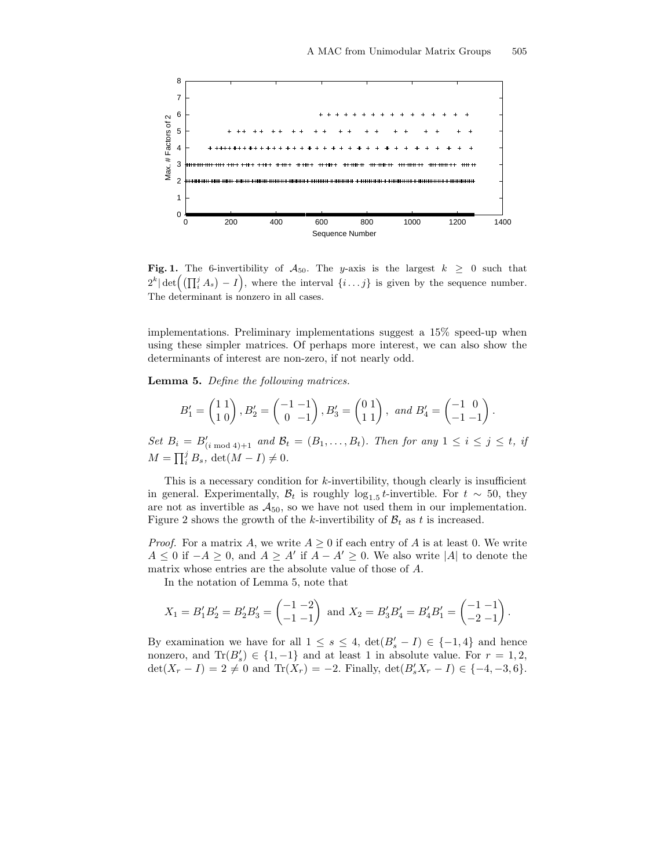

Fig. 1. The 6-invertibility of  $A_{50}$ . The y-axis is the largest  $k \geq 0$  such that  $2^k |\det\left(\left(\prod_i^j A_s\right) - I\right)$ , where the interval  $\{i \dots j\}$  is given by the sequence number. The determinant is nonzero in all cases.

implementations. Preliminary implementations suggest a 15% speed-up when using these simpler matrices. Of perhaps more interest, we can also show the determinants of interest are non-zero, if not nearly odd.

Lemma 5. Define the following matrices.

$$
B'_1 = \begin{pmatrix} 1 & 1 \\ 1 & 0 \end{pmatrix}, B'_2 = \begin{pmatrix} -1 & -1 \\ 0 & -1 \end{pmatrix}, B'_3 = \begin{pmatrix} 0 & 1 \\ 1 & 1 \end{pmatrix}, \text{ and } B'_4 = \begin{pmatrix} -1 & 0 \\ -1 & -1 \end{pmatrix}.
$$

Set  $B_i = B'_{(i \bmod 4)+1}$  and  $B_t = (B_1, \ldots, B_t)$ . Then for any  $1 \le i \le j \le t$ , if  $M = \prod_i^j B_s$ , det $(M - I) \neq 0$ .

This is a necessary condition for  $k$ -invertibility, though clearly is insufficient in general. Experimentally,  $\mathcal{B}_t$  is roughly  $\log_{1.5} t$ -invertible. For  $t \sim 50$ , they are not as invertible as  $A_{50}$ , so we have not used them in our implementation. Figure 2 shows the growth of the k-invertibility of  $\mathcal{B}_t$  as t is increased.

*Proof.* For a matrix A, we write  $A \geq 0$  if each entry of A is at least 0. We write  $A \leq 0$  if  $-A \geq 0$ , and  $A \geq A'$  if  $A - A' \geq 0$ . We also write |A| to denote the matrix whose entries are the absolute value of those of A.

In the notation of Lemma 5, note that

$$
X_1 = B'_1 B'_2 = B'_2 B'_3 = \begin{pmatrix} -1 & -2 \\ -1 & -1 \end{pmatrix}
$$
 and  $X_2 = B'_3 B'_4 = B'_4 B'_1 = \begin{pmatrix} -1 & -1 \\ -2 & -1 \end{pmatrix}$ .

By examination we have for all  $1 \leq s \leq 4$ ,  $\det(B_s' - I) \in \{-1, 4\}$  and hence nonzero, and  $\text{Tr}(B_s) \in \{1, -1\}$  and at least 1 in absolute value. For  $r = 1, 2$ ,  $\det(X_r - I) = 2 \neq 0$  and  $\text{Tr}(X_r) = -2$ . Finally,  $\det(B'_s X_r - I) \in \{-4, -3, 6\}$ .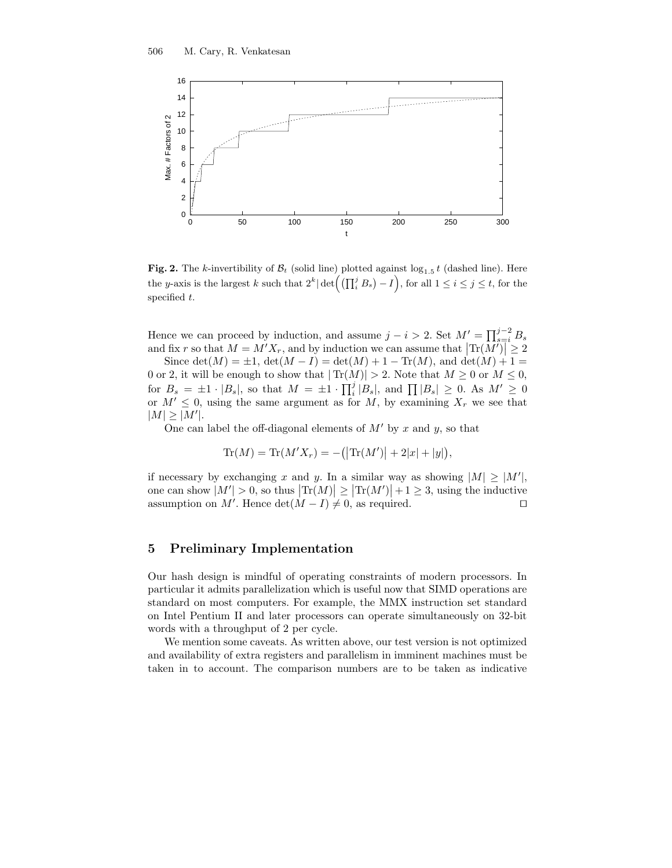

**Fig. 2.** The k-invertibility of  $\mathcal{B}_t$  (solid line) plotted against  $\log_{1.5} t$  (dashed line). Here the y-axis is the largest k such that  $2^k | \det \left( (\prod_i^j B_s) - I \right)$ , for all  $1 \le i \le j \le t$ , for the specified  $t$ .

Hence we can proceed by induction, and assume  $j - i > 2$ . Set  $M' = \prod_{s=i}^{j-2} B_s$ and fix r so that  $M = M'X_r$ , and by induction we can assume that  $|\text{Tr}(M')| \geq 2$ 

Since  $\det(M) = \pm 1$ ,  $\det(M - I) = \det(M) + 1 - \text{Tr}(M)$ , and  $\det(M) + 1 =$ 0 or 2, it will be enough to show that  $|\text{Tr}(M)| > 2$ . Note that  $M \geq 0$  or  $M \leq 0$ , for  $B_s = \pm 1 \cdot |B_s|$ , so that  $M = \pm 1 \cdot \prod_i^j |B_s|$ , and  $\prod |B_s| \geq 0$ . As  $M' \geq 0$ or  $M' \leq 0$ , using the same argument as for M, by examining  $X_r$  we see that  $|M| \geq |M'|$ .

One can label the off-diagonal elements of  $M'$  by x and y, so that

$$
Tr(M) = Tr(M'X_r) = -(|Tr(M')| + 2|x| + |y|),
$$

if necessary by exchanging x and y. In a similar way as showing  $|M| \geq |M'|$ , one can show  $|M'| > 0$ , so thus  $|\text{Tr}(M)| \ge |\text{Tr}(M')| + 1 \ge 3$ , using the inductive assumption on M'. Hence  $\det(M - I) \neq 0$ , as required.

## 5 Preliminary Implementation

Our hash design is mindful of operating constraints of modern processors. In particular it admits parallelization which is useful now that SIMD operations are standard on most computers. For example, the MMX instruction set standard on Intel Pentium II and later processors can operate simultaneously on 32-bit words with a throughput of 2 per cycle.

We mention some caveats. As written above, our test version is not optimized and availability of extra registers and parallelism in imminent machines must be taken in to account. The comparison numbers are to be taken as indicative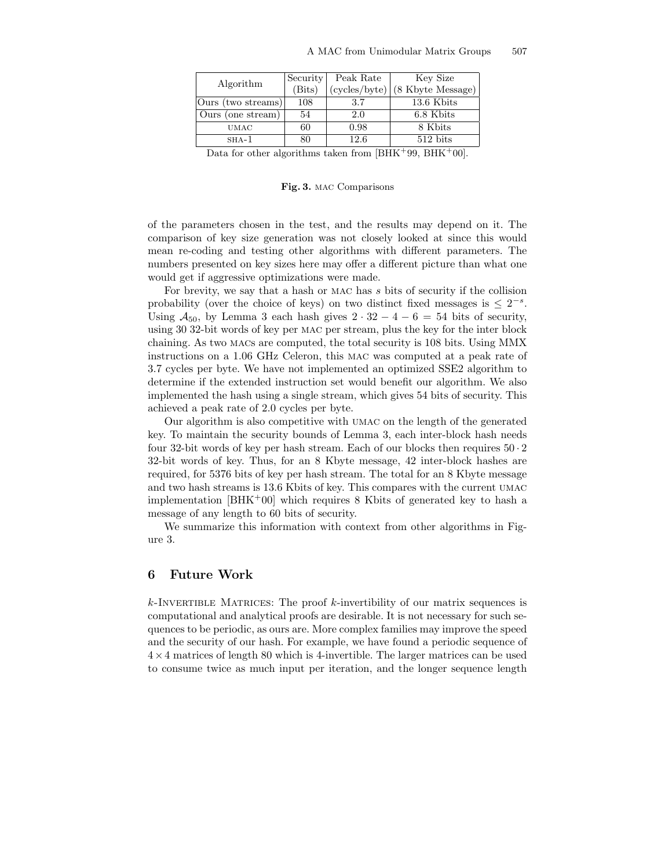| Algorithm          | Security | Peak Rate     | Key Size               |
|--------------------|----------|---------------|------------------------|
|                    | (Bits)   | (cycles/byte) | (8 Kbyte Message)      |
| Ours (two streams) | 108      | 3.7           | 13.6 Kbits             |
| Ours (one stream)  | 54       | 2.0           | 6.8 Kbits              |
| <b>UMAC</b>        | 60       | 0.98          | 8 Kbits                |
| $SHA-1$            | 80       | 12.6          | $512 \; \mathrm{bits}$ |

Data for other algorithms taken from  $[BHK^+99, BHK^+00]$ .

#### Fig. 3. mac Comparisons

of the parameters chosen in the test, and the results may depend on it. The comparison of key size generation was not closely looked at since this would mean re-coding and testing other algorithms with different parameters. The numbers presented on key sizes here may offer a different picture than what one would get if aggressive optimizations were made.

For brevity, we say that a hash or mac has s bits of security if the collision probability (over the choice of keys) on two distinct fixed messages is  $\leq 2^{-s}$ . Using  $A_{50}$ , by Lemma 3 each hash gives  $2 \cdot 32 - 4 - 6 = 54$  bits of security, using 30 32-bit words of key per mac per stream, plus the key for the inter block chaining. As two macs are computed, the total security is 108 bits. Using MMX instructions on a 1.06 GHz Celeron, this mac was computed at a peak rate of 3.7 cycles per byte. We have not implemented an optimized SSE2 algorithm to determine if the extended instruction set would benefit our algorithm. We also implemented the hash using a single stream, which gives 54 bits of security. This achieved a peak rate of 2.0 cycles per byte.

Our algorithm is also competitive with umac on the length of the generated key. To maintain the security bounds of Lemma 3, each inter-block hash needs four 32-bit words of key per hash stream. Each of our blocks then requires 50 · 2 32-bit words of key. Thus, for an 8 Kbyte message, 42 inter-block hashes are required, for 5376 bits of key per hash stream. The total for an 8 Kbyte message and two hash streams is 13.6 Kbits of key. This compares with the current umac implementation  $[BHK<sup>+</sup>00]$  which requires 8 Kbits of generated key to hash a message of any length to 60 bits of security.

We summarize this information with context from other algorithms in Figure 3.

## 6 Future Work

 $k$ -INVERTIBLE MATRICES: The proof  $k$ -invertibility of our matrix sequences is computational and analytical proofs are desirable. It is not necessary for such sequences to be periodic, as ours are. More complex families may improve the speed and the security of our hash. For example, we have found a periodic sequence of  $4 \times 4$  matrices of length 80 which is 4-invertible. The larger matrices can be used to consume twice as much input per iteration, and the longer sequence length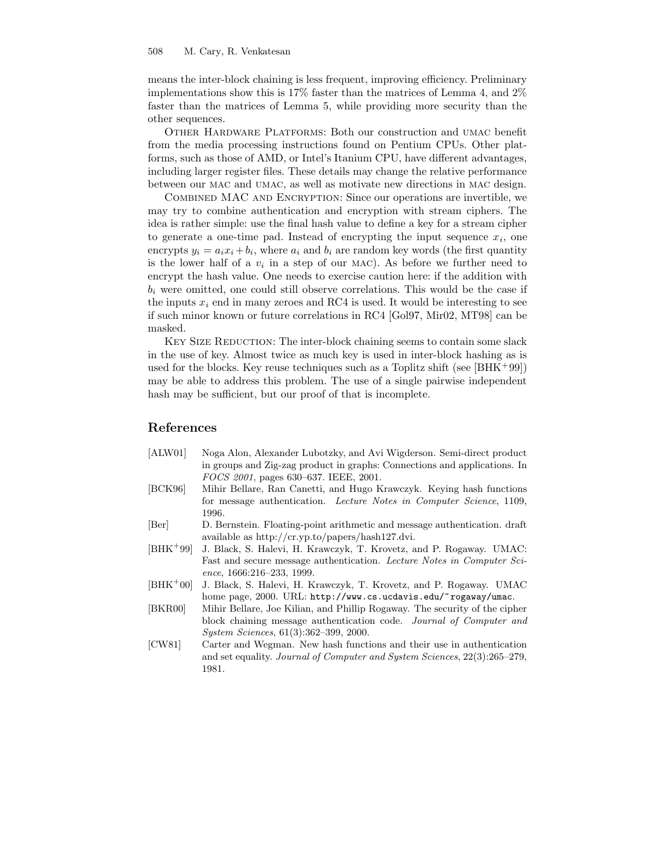means the inter-block chaining is less frequent, improving efficiency. Preliminary implementations show this is 17% faster than the matrices of Lemma 4, and 2% faster than the matrices of Lemma 5, while providing more security than the other sequences.

Other Hardware Platforms: Both our construction and umac benefit from the media processing instructions found on Pentium CPUs. Other platforms, such as those of AMD, or Intel's Itanium CPU, have different advantages, including larger register files. These details may change the relative performance between our mac and umac, as well as motivate new directions in mac design.

Combined MAC and Encryption: Since our operations are invertible, we may try to combine authentication and encryption with stream ciphers. The idea is rather simple: use the final hash value to define a key for a stream cipher to generate a one-time pad. Instead of encrypting the input sequence  $x_i$ , one encrypts  $y_i = a_i x_i + b_i$ , where  $a_i$  and  $b_i$  are random key words (the first quantity is the lower half of a  $v_i$  in a step of our MAC). As before we further need to encrypt the hash value. One needs to exercise caution here: if the addition with  $b_i$  were omitted, one could still observe correlations. This would be the case if the inputs  $x_i$  end in many zeroes and RC4 is used. It would be interesting to see if such minor known or future correlations in RC4 [Gol97, Mir02, MT98] can be masked.

KEY SIZE REDUCTION: The inter-block chaining seems to contain some slack in the use of key. Almost twice as much key is used in inter-block hashing as is used for the blocks. Key reuse techniques such as a Toplitz shift (see  $[BHK^+99]$ ) may be able to address this problem. The use of a single pairwise independent hash may be sufficient, but our proof of that is incomplete.

## References

- [ALW01] Noga Alon, Alexander Lubotzky, and Avi Wigderson. Semi-direct product in groups and Zig-zag product in graphs: Connections and applications. In FOCS 2001, pages 630–637. IEEE, 2001.
- [BCK96] Mihir Bellare, Ran Canetti, and Hugo Krawczyk. Keying hash functions for message authentication. Lecture Notes in Computer Science, 1109, 1996.
- [Ber] D. Bernstein. Floating-point arithmetic and message authentication. draft available as http://cr.yp.to/papers/hash127.dvi.
- [BHK<sup>+</sup>99] J. Black, S. Halevi, H. Krawczyk, T. Krovetz, and P. Rogaway. UMAC: Fast and secure message authentication. Lecture Notes in Computer Science, 1666:216–233, 1999.
- [BHK<sup>+</sup>00] J. Black, S. Halevi, H. Krawczyk, T. Krovetz, and P. Rogaway. UMAC home page, 2000. URL: http://www.cs.ucdavis.edu/~rogaway/umac.
- [BKR00] Mihir Bellare, Joe Kilian, and Phillip Rogaway. The security of the cipher block chaining message authentication code. Journal of Computer and System Sciences, 61(3):362–399, 2000.
- [CW81] Carter and Wegman. New hash functions and their use in authentication and set equality. Journal of Computer and System Sciences, 22(3):265–279, 1981.